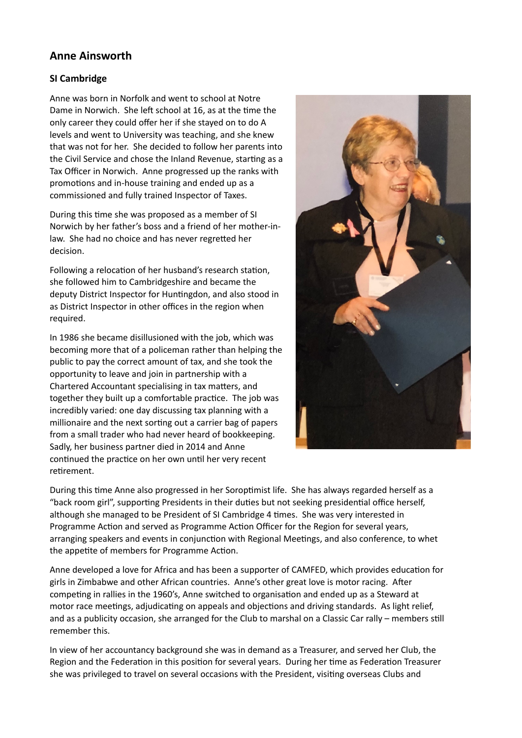## **Anne Ainsworth**

## **SI Cambridge**

Anne was born in Norfolk and went to school at Notre Dame in Norwich. She left school at 16, as at the time the only career they could offer her if she stayed on to do A levels and went to University was teaching, and she knew that was not for her. She decided to follow her parents into the Civil Service and chose the Inland Revenue, starting as a Tax Officer in Norwich. Anne progressed up the ranks with promotions and in-house training and ended up as a commissioned and fully trained Inspector of Taxes.

During this time she was proposed as a member of SI Norwich by her father's boss and a friend of her mother-inlaw. She had no choice and has never regretted her decision.

Following a relocation of her husband's research station, she followed him to Cambridgeshire and became the deputy District Inspector for Huntingdon, and also stood in as District Inspector in other offices in the region when required.

In 1986 she became disillusioned with the job, which was becoming more that of a policeman rather than helping the public to pay the correct amount of tax, and she took the opportunity to leave and join in partnership with a Chartered Accountant specialising in tax matters, and together they built up a comfortable practice. The job was incredibly varied: one day discussing tax planning with a millionaire and the next sorting out a carrier bag of papers from a small trader who had never heard of bookkeeping. Sadly, her business partner died in 2014 and Anne continued the practice on her own until her very recent retirement.



During this time Anne also progressed in her Soroptimist life. She has always regarded herself as a "back room girl", supporting Presidents in their duties but not seeking presidential office herself, although she managed to be President of SI Cambridge 4 times. She was very interested in Programme Action and served as Programme Action Officer for the Region for several years, arranging speakers and events in conjunction with Regional Meetings, and also conference, to whet the appetite of members for Programme Action.

Anne developed a love for Africa and has been a supporter of CAMFED, which provides education for girls in Zimbabwe and other African countries. Anne's other great love is motor racing. After competing in rallies in the 1960's, Anne switched to organisation and ended up as a Steward at motor race meetings, adjudicating on appeals and objections and driving standards. As light relief, and as a publicity occasion, she arranged for the Club to marshal on a Classic Car rally – members still remember this.

In view of her accountancy background she was in demand as a Treasurer, and served her Club, the Region and the Federation in this position for several years. During her time as Federation Treasurer she was privileged to travel on several occasions with the President, visiting overseas Clubs and